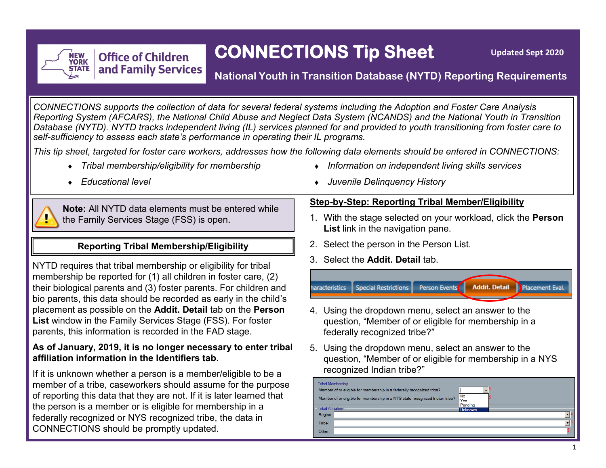

# **CONNECTIONS Tip Sheet**

**Updated Sept 2020**

**National Youth in Transition Database (NYTD) Reporting Requirements**

*CONNECTIONS supports the collection of data for several federal systems including the Adoption and Foster Care Analysis Reporting System (AFCARS), the National Child Abuse and Neglect Data System (NCANDS) and the National Youth in Transition Database (NYTD). NYTD tracks independent living (IL) services planned for and provided to youth transitioning from foster care to self-sufficiency to assess each state's performance in operating their IL programs.*

*This tip sheet, targeted for foster care workers, addresses how the following data elements should be entered in CONNECTIONS:*

- 
- *Tribal membership/eligibility for membership Information on independent living skills services*
- 

**Note:** All NYTD data elements must be entered while the Family Services Stage (FSS) is open.

### **Reporting Tribal Membership/Eligibility**

NYTD requires that tribal membership or eligibility for tribal membership be reported for (1) all children in foster care, (2) their biological parents and (3) foster parents. For children and bio parents, this data should be recorded as early in the child's placement as possible on the **Addit. Detail** tab on the **Person List** window in the Family Services Stage (FSS). For foster parents, this information is recorded in the FAD stage.

### **As of January, 2019, it is no longer necessary to enter tribal affiliation information in the Identifiers tab.**

If it is unknown whether a person is a member/eligible to be a member of a tribe, caseworkers should assume for the purpose of reporting this data that they are not. If it is later learned that the person is a member or is eligible for membership in a federally recognized or NYS recognized tribe, the data in CONNECTIONS should be promptly updated.

*Educational level Juvenile Delinquency History*

#### **Step-by-Step: Reporting Tribal Member/Eligibility**

- 1. With the stage selected on your workload, click the **Person List** link in the navigation pane.
- 2. Select the person in the Person List.
- 3. Select the **Addit. Detail** tab.
- Addit. Detail Placement Eval Special Restrictions Person Events aracteristics
- 4. Using the dropdown menu, select an answer to the question, "Member of or eligible for membership in a federally recognized tribe?"
- 5. Using the dropdown menu, select an answer to the question, "Member of or eligible for membership in a NYS recognized Indian tribe?"

| <b>Tribal Membership</b><br>Member of or eligible for membership in a federally recognized tribe?<br>Member of or eligible for membership in a NYS state recognized Indian tribe?<br><b>Tribal Affiliation</b> | l No<br>Yes<br>Pending |
|----------------------------------------------------------------------------------------------------------------------------------------------------------------------------------------------------------------|------------------------|
| Region:                                                                                                                                                                                                        | <b>Unknown</b>         |
| Tribe:                                                                                                                                                                                                         |                        |
| Other:                                                                                                                                                                                                         |                        |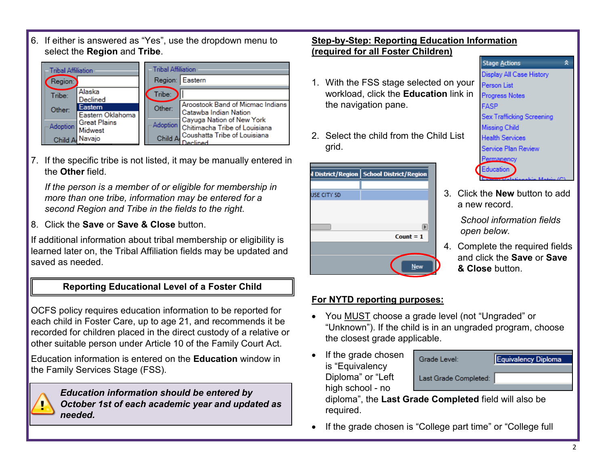6. If either is answered as "Yes", use the dropdown menu to select the **Region** and **Tribe**.

| Tribal Affiliation |                                                                                         | <b>Tribal Affiliation</b> |         |                                                                     |
|--------------------|-----------------------------------------------------------------------------------------|---------------------------|---------|---------------------------------------------------------------------|
| Region:            |                                                                                         |                           | Region: | Eastern                                                             |
| Tribe:             | Alaska<br>Declined                                                                      |                           | Tribe:  |                                                                     |
| Other:             | <b>Eastern</b><br>Eastern Oklahoma<br><b>Great Plains</b><br><b>Adoption</b><br>Midwest |                           | Other:  | Aroostook Band of Micmac Indians<br>Catawba Indian Nation           |
|                    |                                                                                         |                           |         | Cayuga Nation of New York<br>Adoption Chitimacha Tribe of Louisiana |
| Child A            | Navajo                                                                                  |                           | Child A | Coushatta Tribe of Louisiana<br>Declined                            |

7. If the specific tribe is not listed, it may be manually entered in the **Other** field.

*If the person is a member of or eligible for membership in more than one tribe, information may be entered for a second Region and Tribe in the fields to the right.* 

8. Click the **Save** or **Save & Close** button.

If additional information about tribal membership or eligibility is learned later on, the Tribal Affiliation fields may be updated and saved as needed.

## **Reporting Educational Level of a Foster Child**

OCFS policy requires education information to be reported for each child in Foster Care, up to age 21, and recommends it be recorded for children placed in the direct custody of a relative or other suitable person under Article 10 of the Family Court Act.

Education information is entered on the **Education** window in the Family Services Stage (FSS).

> *Education information should be entered by October 1st of each academic year and updated as needed.*

### **Step-by-Step: Reporting Education Information (required for all Foster Children)**

- 1. With the FSS stage selected on your workload, click the **Education** link in the navigation pane.
- 2. Select the child from the Child List grid.



- **Stage Actions** Ŷ. Display All Case History Person List **Progress Notes** FASP Sex Trafficking Screening Missing Child **Health Services** Service Plan Review Permanency Education<sup>1</sup>
- 3. Click the **New** button to add a new record.

*School information fields open below.* 

4. Complete the required fields and click the **Save** or **Save & Close** button.

Equivalency Diploma

#### **For NYTD reporting purposes:**

- You MUST choose a grade level (not "Ungraded" or "Unknown"). If the child is in an ungraded program, choose the closest grade applicable.
- If the grade chosen is "Equivalency Diploma" or "Left high school - no

|  | Grade Level |  |
|--|-------------|--|
|  |             |  |

Last Grade Completed:

diploma", the **Last Grade Completed** field will also be required.

If the grade chosen is "College part time" or "College full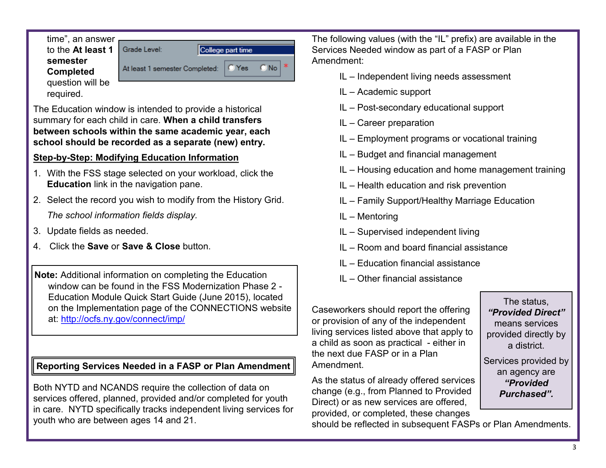

The Education window is intended to provide a historical summary for each child in care. **When a child transfers between schools within the same academic year, each school should be recorded as a separate (new) entry.**

### **Step-by-Step: Modifying Education Information**

- 1. With the FSS stage selected on your workload, click the **Education** link in the navigation pane.
- 2. Select the record you wish to modify from the History Grid.

*The school information fields display.* 

- 3. Update fields as needed.
- 4. Click the **Save** or **Save & Close** button.

**Note:** Additional information on completing the Education window can be found in the FSS Modernization Phase 2 - Education Module Quick Start Guide (June 2015), located on the Implementation page of the CONNECTIONS website at: <http://ocfs.ny.gov/connect/imp/>

## **Reporting Services Needed in a FASP or Plan Amendment**

Both NYTD and NCANDS require the collection of data on services offered, planned, provided and/or completed for youth in care. NYTD specifically tracks independent living services for youth who are between ages 14 and 21.

The following values (with the "IL" prefix) are available in the Services Needed window as part of a FASP or Plan Amendment:

- IL Independent living needs assessment
- IL Academic support
- IL Post-secondary educational support
- IL Career preparation
- IL Employment programs or vocational training
- IL Budget and financial management
- IL Housing education and home management training
- IL Health education and risk prevention
- IL Family Support/Healthy Marriage Education
- IL Mentoring
- IL Supervised independent living
- IL Room and board financial assistance
- IL Education financial assistance
- IL Other financial assistance

Caseworkers should report the offering or provision of any of the independent living services listed above that apply to a child as soon as practical - either in the next due FASP or in a Plan Amendment.

As the status of already offered services change (e.g., from Planned to Provided Direct) or as new services are offered, provided, or completed, these changes

should be reflected in subsequent FASPs or Plan Amendments.

The status, *"Provided Direct"*  means services provided directly by a district.

Services provided by an agency are *"Provided Purchased".*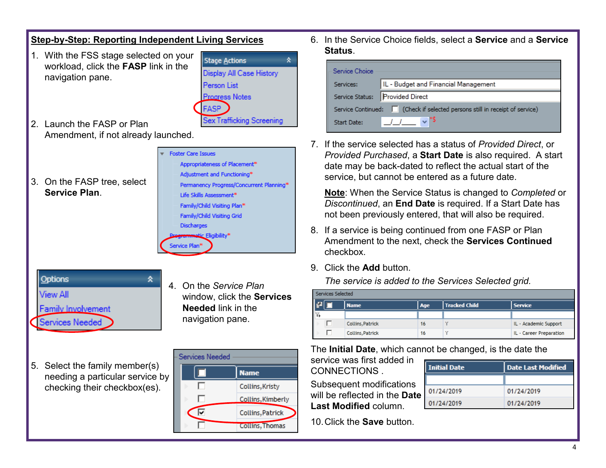#### **Step-by-Step: Reporting Independent Living Services** 1. With the FSS stage selected on your **Stage Actions** 全 workload, click the **FASP** link in the Display All Case History navigation pane. Person List Progress Notes **FASP** Sex Trafficking Screening 2. Launch the FASP or Plan Amendment, if not already launched. **Foster Care Issues** Appropriateness of Placement\* Adjustment and Functioning\* 3. On the FASP tree, select Permanency Progress/Concurrent Planning\* **Service Plan**. Life Skills Assessment\* Family/Child Visiting Plan\* Family/Child Visiting Grid Discharges Eligibility\* Service Plan\* **Options** 숏 4. On the *Service Plan* View All window, click the **Services Needed** link in the Family Involvement navigation pane. Services Needed Services Needed 5. Select the family member(s)  $\Box$ **Name** needing a particular service by п checking their checkbox(es).Collins, Kristy Collins, Kimberly ⊽ Collins, Patrick **Collins, Thomas**

6. In the Service Choice fields, select a **Service** and a **Service Status**.

| Service Choice  |                                                                           |
|-----------------|---------------------------------------------------------------------------|
| Services:       | IL - Budget and Financial Management                                      |
| Service Status: | Provided Direct                                                           |
|                 | Service Continued: Check if selected persons still in receipt of service) |
| Start Date:     |                                                                           |

7. If the service selected has a status of *Provided Direct*, or *Provided Purchased*, a **Start Date** is also required. A start date may be back-dated to reflect the actual start of the service, but cannot be entered as a future date.

**Note**: When the Service Status is changed to *Completed* or *Discontinued*, an **End Date** is required. If a Start Date has not been previously entered, that will also be required.

- 8. If a service is being continued from one FASP or Plan Amendment to the next, check the **Services Continued**  checkbox.
- 9. Click the **Add** button.

*The service is added to the Services Selected grid.*

| Services Selected |  |                         |     |                      |                         |
|-------------------|--|-------------------------|-----|----------------------|-------------------------|
| E                 |  | <b>Name</b>             | Age | <b>Tracked Child</b> | <b>Service</b>          |
| IV,               |  |                         |     |                      |                         |
|                   |  | <b>Collins, Patrick</b> | 16  |                      | IL - Academic Support   |
|                   |  | Collins, Patrick        | 16  | v                    | IL - Career Preparation |

The **Initial Date**, which cannot be changed, is the date the

service was first added in CONNECTIONS .

Subsequent modifications will be reflected in the **Date Last Modified** column.

|   | <b>Initial Date</b> | Date Last Modified |  |  |
|---|---------------------|--------------------|--|--|
|   |                     |                    |  |  |
| € | 01/24/2019          | 01/24/2019         |  |  |
|   | 01/24/2019          | 01/24/2019         |  |  |

10.Click the **Save** button.